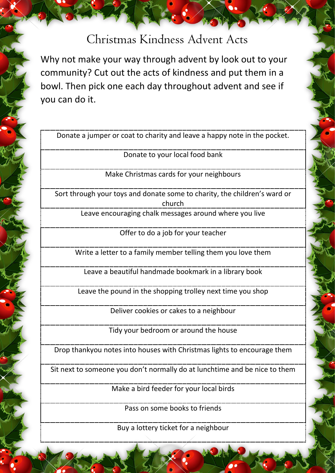## Christmas Kindness Advent Acts

Why not make your way through advent by look out to your community? Cut out the acts of kindness and put them in a bowl. Then pick one each day throughout advent and see if you can do it.

Donate a jumper or coat to charity and leave a happy note in the pocket.

Donate to your local food bank

Make Christmas cards for your neighbours

Sort through your toys and donate some to charity, the children's ward or church

Leave encouraging chalk messages around where you live

Offer to do a job for your teacher

Write a letter to a family member telling them you love them

Leave a beautiful handmade bookmark in a library book

Leave the pound in the shopping trolley next time you shop

Deliver cookies or cakes to a neighbour

Tidy your bedroom or around the house

Drop thankyou notes into houses with Christmas lights to encourage them

Sit next to someone you don't normally do at lunchtime and be nice to them

Make a bird feeder for your local birds

Pass on some books to friends

Buy a lottery ticket for a neighbour